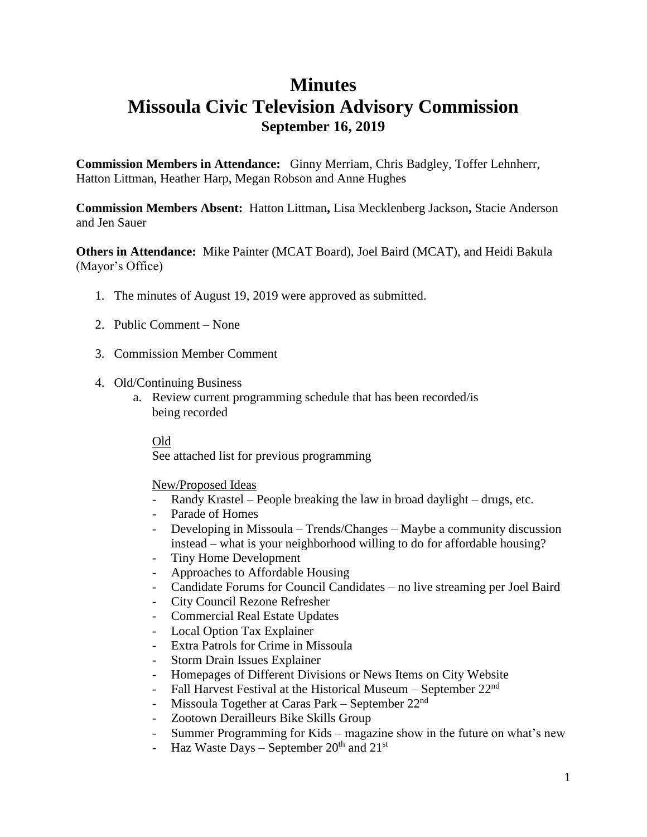# **Minutes**

# **Missoula Civic Television Advisory Commission September 16, 2019**

**Commission Members in Attendance:** Ginny Merriam, Chris Badgley, Toffer Lehnherr, Hatton Littman, Heather Harp, Megan Robson and Anne Hughes

**Commission Members Absent:** Hatton Littman**,** Lisa Mecklenberg Jackson**,** Stacie Anderson and Jen Sauer

**Others in Attendance:** Mike Painter (MCAT Board), Joel Baird (MCAT), and Heidi Bakula (Mayor's Office)

- 1. The minutes of August 19, 2019 were approved as submitted.
- 2. Public Comment None
- 3. Commission Member Comment
- 4. Old/Continuing Business
	- a. Review current programming schedule that has been recorded/is being recorded

# Old

See attached list for previous programming

New/Proposed Ideas

- Randy Krastel People breaking the law in broad daylight drugs, etc.
- Parade of Homes
- Developing in Missoula Trends/Changes Maybe a community discussion instead – what is your neighborhood willing to do for affordable housing?
- Tiny Home Development
- Approaches to Affordable Housing
- Candidate Forums for Council Candidates no live streaming per Joel Baird
- City Council Rezone Refresher
- Commercial Real Estate Updates
- Local Option Tax Explainer
- Extra Patrols for Crime in Missoula
- Storm Drain Issues Explainer
- Homepages of Different Divisions or News Items on City Website
- Fall Harvest Festival at the Historical Museum September 22<sup>nd</sup>
- Missoula Together at Caras Park September  $22<sup>nd</sup>$
- Zootown Derailleurs Bike Skills Group
- Summer Programming for Kids magazine show in the future on what's new
- Haz Waste Days September  $20<sup>th</sup>$  and  $21<sup>st</sup>$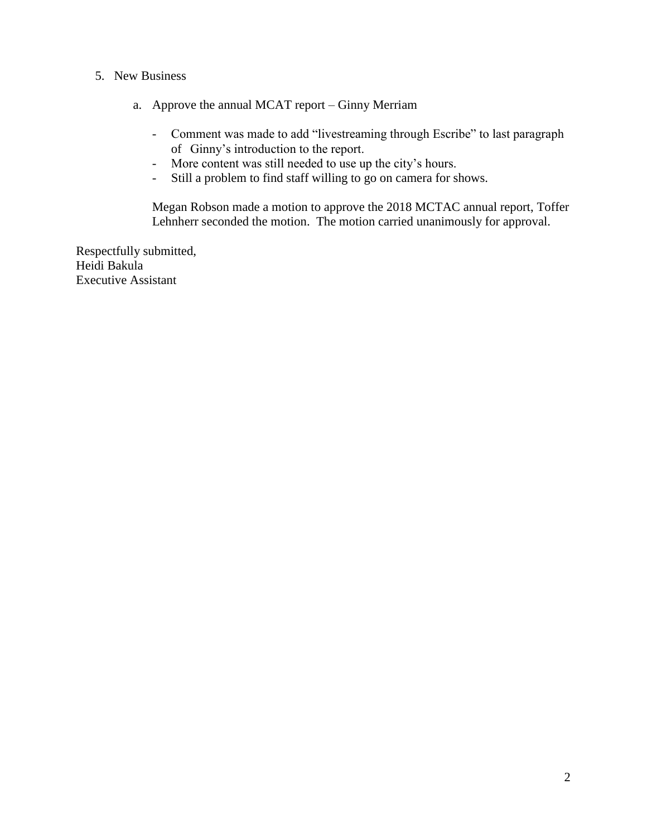### 5. New Business

- a. Approve the annual MCAT report Ginny Merriam
	- Comment was made to add "livestreaming through Escribe" to last paragraph of Ginny's introduction to the report.
	- More content was still needed to use up the city's hours.
	- Still a problem to find staff willing to go on camera for shows.

Megan Robson made a motion to approve the 2018 MCTAC annual report, Toffer Lehnherr seconded the motion. The motion carried unanimously for approval.

Respectfully submitted, Heidi Bakula Executive Assistant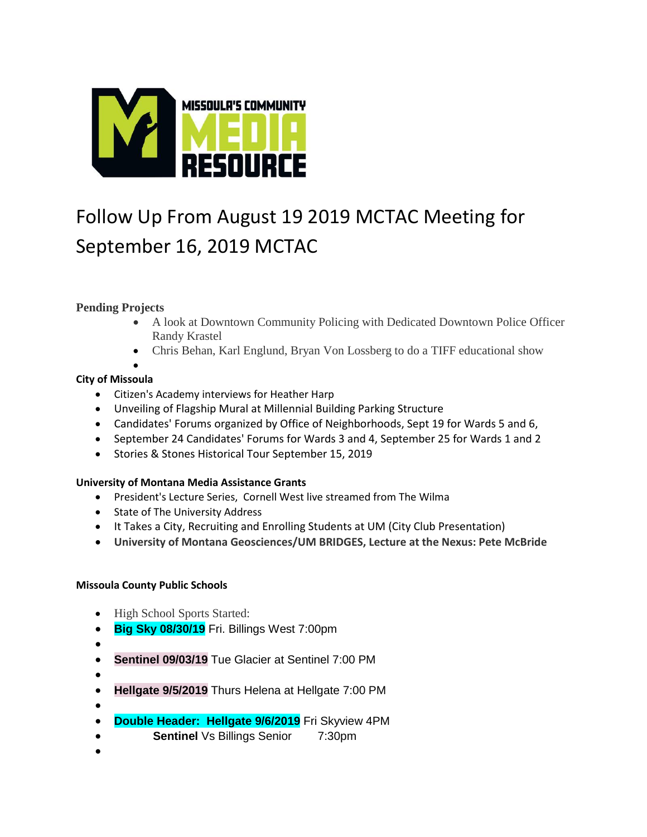

# Follow Up From August 19 2019 MCTAC Meeting for September 16, 2019 MCTAC

# **Pending Projects**

- A look at Downtown Community Policing with Dedicated Downtown Police Officer Randy Krastel
- Chris Behan, Karl Englund, Bryan Von Lossberg to do a TIFF educational show

#### $\bullet$ **City of Missoula**

- Citizen's Academy interviews for Heather Harp
- Unveiling of Flagship Mural at Millennial Building Parking Structure
- Candidates' Forums organized by Office of Neighborhoods, Sept 19 for Wards 5 and 6,
- September 24 Candidates' Forums for Wards 3 and 4, September 25 for Wards 1 and 2
- Stories & Stones Historical Tour September 15, 2019

# **University of Montana Media Assistance Grants**

- President's Lecture Series, Cornell West live streamed from The Wilma
- State of The University Address
- It Takes a City, Recruiting and Enrolling Students at UM (City Club Presentation)
- **University of Montana Geosciences/UM BRIDGES, Lecture at the Nexus: Pete McBride**

# **Missoula County Public Schools**

- High School Sports Started:
- **Big Sky 08/30/19** Fri. Billings West 7:00pm
- $\bullet$
- **Sentinel 09/03/19** Tue Glacier at Sentinel 7:00 PM
- $\bullet$ 
	-
- **Hellgate 9/5/2019** Thurs Helena at Hellgate 7:00 PM
- $\bullet$
- **Double Header: Hellgate 9/6/2019** Fri Skyview 4PM
- **Sentinel** Vs Billings Senior 7:30pm
- $\bullet$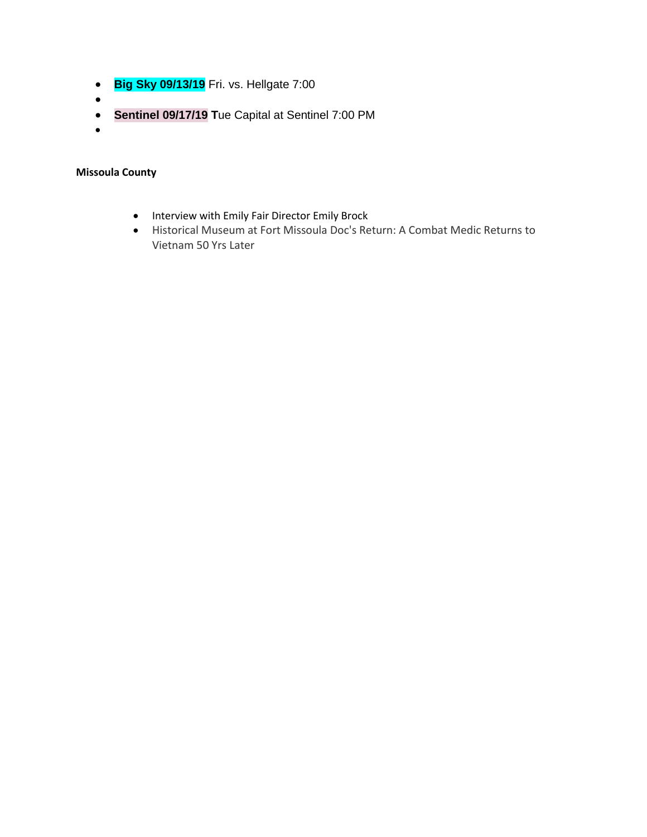- **Big Sky 09/13/19** Fri. vs. Hellgate 7:00
- $\bullet$
- **Sentinel 09/17/19 T**ue Capital at Sentinel 7:00 PM
- $\bullet$

# **Missoula County**

- Interview with Emily Fair Director Emily Brock
- Historical Museum at Fort Missoula Doc's Return: A Combat Medic Returns to Vietnam 50 Yrs Later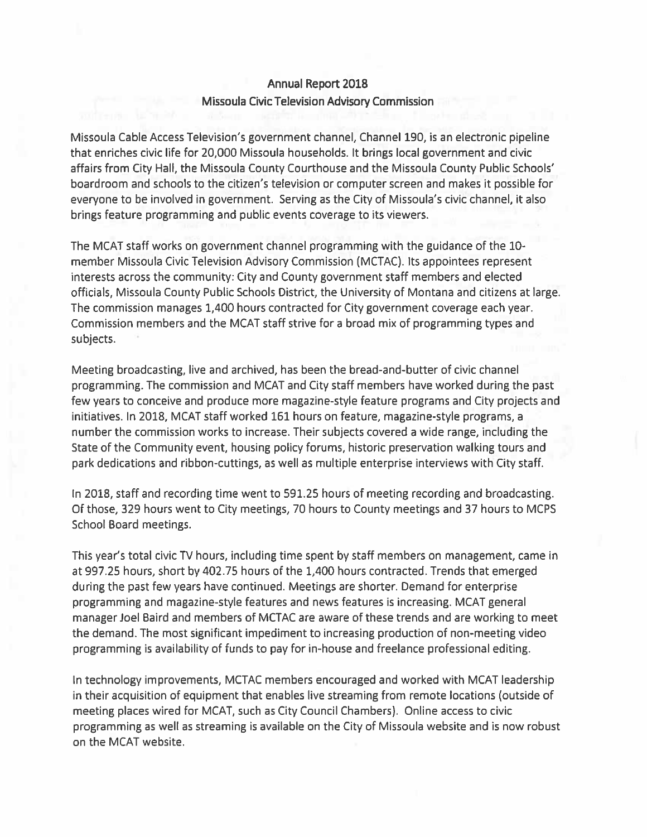#### **Annual Report 2018**

#### Missoula Civic Television Advisory Commission

Missoula Cable Access Television's government channel, Channel 190, is an electronic pipeline that enriches civic life for 20,000 Missoula households. It brings local government and civic affairs from City Hall, the Missoula County Courthouse and the Missoula County Public Schools' boardroom and schools to the citizen's television or computer screen and makes it possible for everyone to be involved in government. Serving as the City of Missoula's civic channel, it also brings feature programming and public events coverage to its viewers.

The MCAT staff works on government channel programming with the guidance of the 10member Missoula Civic Television Advisory Commission (MCTAC). Its appointees represent interests across the community: City and County government staff members and elected officials, Missoula County Public Schools District, the University of Montana and citizens at large. The commission manages 1,400 hours contracted for City government coverage each year. Commission members and the MCAT staff strive for a broad mix of programming types and subjects.

Meeting broadcasting, live and archived, has been the bread-and-butter of civic channel programming. The commission and MCAT and City staff members have worked during the past few years to conceive and produce more magazine-style feature programs and City projects and initiatives. In 2018, MCAT staff worked 161 hours on feature, magazine-style programs, a number the commission works to increase. Their subjects covered a wide range, including the State of the Community event, housing policy forums, historic preservation walking tours and park dedications and ribbon-cuttings, as well as multiple enterprise interviews with City staff.

In 2018, staff and recording time went to 591.25 hours of meeting recording and broadcasting. Of those, 329 hours went to City meetings, 70 hours to County meetings and 37 hours to MCPS School Board meetings.

This year's total civic TV hours, including time spent by staff members on management, came in at 997.25 hours, short by 402.75 hours of the 1,400 hours contracted. Trends that emerged during the past few years have continued. Meetings are shorter. Demand for enterprise programming and magazine-style features and news features is increasing. MCAT general manager Joel Baird and members of MCTAC are aware of these trends and are working to meet the demand. The most significant impediment to increasing production of non-meeting video programming is availability of funds to pay for in-house and freelance professional editing.

In technology improvements, MCTAC members encouraged and worked with MCAT leadership in their acquisition of equipment that enables live streaming from remote locations (outside of meeting places wired for MCAT, such as City Council Chambers). Online access to civic programming as well as streaming is available on the City of Missoula website and is now robust on the MCAT website.